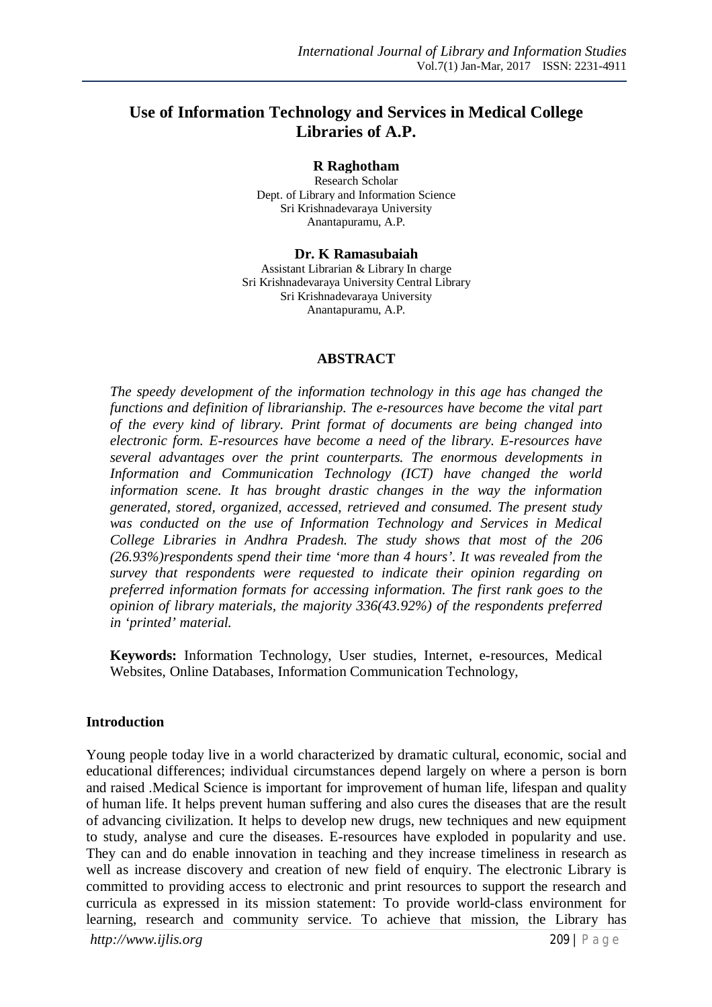# **Use of Information Technology and Services in Medical College Libraries of A.P.**

#### **R Raghotham**

Research Scholar Dept. of Library and Information Science Sri Krishnadevaraya University Anantapuramu, A.P.

**Dr. K Ramasubaiah** Assistant Librarian & Library In charge

Sri Krishnadevaraya University Central Library Sri Krishnadevaraya University Anantapuramu, A.P.

#### **ABSTRACT**

*The speedy development of the information technology in this age has changed the functions and definition of librarianship. The e-resources have become the vital part of the every kind of library. Print format of documents are being changed into electronic form. E-resources have become a need of the library. E-resources have several advantages over the print counterparts. The enormous developments in Information and Communication Technology (ICT) have changed the world information scene. It has brought drastic changes in the way the information generated, stored, organized, accessed, retrieved and consumed. The present study was conducted on the use of Information Technology and Services in Medical College Libraries in Andhra Pradesh. The study shows that most of the 206 (26.93%)respondents spend their time 'more than 4 hours'. It was revealed from the survey that respondents were requested to indicate their opinion regarding on preferred information formats for accessing information. The first rank goes to the opinion of library materials, the majority 336(43.92%) of the respondents preferred in 'printed' material.*

**Keywords:** Information Technology, User studies, Internet, e-resources, Medical Websites, Online Databases, Information Communication Technology,

#### **Introduction**

Young people today live in a world characterized by dramatic cultural, economic, social and educational differences; individual circumstances depend largely on where a person is born and raised .Medical Science is important for improvement of human life, lifespan and quality of human life. It helps prevent human suffering and also cures the diseases that are the result of advancing civilization. It helps to develop new drugs, new techniques and new equipment to study, analyse and cure the diseases. E-resources have exploded in popularity and use. They can and do enable innovation in teaching and they increase timeliness in research as well as increase discovery and creation of new field of enquiry. The electronic Library is committed to providing access to electronic and print resources to support the research and curricula as expressed in its mission statement: To provide world-class environment for learning, research and community service. To achieve that mission, the Library has

*http://www.ijlis.org* 209 | P a g e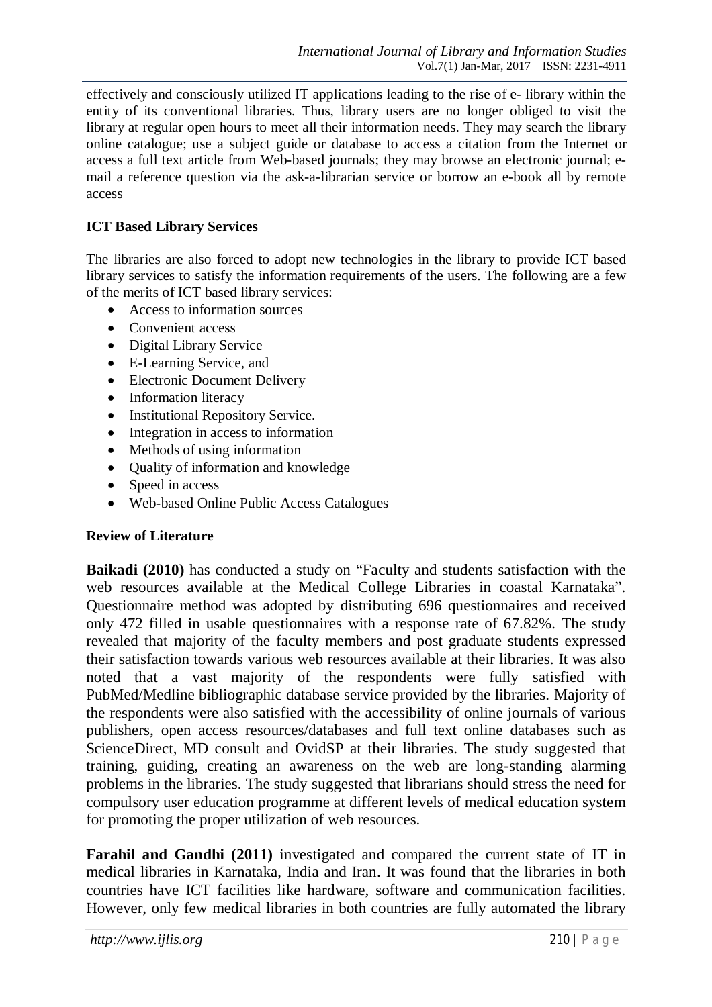effectively and consciously utilized IT applications leading to the rise of e- library within the entity of its conventional libraries. Thus, library users are no longer obliged to visit the library at regular open hours to meet all their information needs. They may search the library online catalogue; use a subject guide or database to access a citation from the Internet or access a full text article from Web-based journals; they may browse an electronic journal; email a reference question via the ask-a-librarian service or borrow an e-book all by remote access

## **ICT Based Library Services**

The libraries are also forced to adopt new technologies in the library to provide ICT based library services to satisfy the information requirements of the users. The following are a few of the merits of ICT based library services:

- Access to information sources
- Convenient access
- Digital Library Service
- E-Learning Service, and
- Electronic Document Delivery
- Information literacy
- Institutional Repository Service.
- Integration in access to information
- Methods of using information
- Quality of information and knowledge
- Speed in access
- Web-based Online Public Access Catalogues

## **Review of Literature**

**Baikadi (2010)** has conducted a study on "Faculty and students satisfaction with the web resources available at the Medical College Libraries in coastal Karnataka". Questionnaire method was adopted by distributing 696 questionnaires and received only 472 filled in usable questionnaires with a response rate of 67.82%. The study revealed that majority of the faculty members and post graduate students expressed their satisfaction towards various web resources available at their libraries. It was also noted that a vast majority of the respondents were fully satisfied with PubMed/Medline bibliographic database service provided by the libraries. Majority of the respondents were also satisfied with the accessibility of online journals of various publishers, open access resources/databases and full text online databases such as ScienceDirect, MD consult and OvidSP at their libraries. The study suggested that training, guiding, creating an awareness on the web are long-standing alarming problems in the libraries. The study suggested that librarians should stress the need for compulsory user education programme at different levels of medical education system for promoting the proper utilization of web resources.

**Farahil and Gandhi (2011)** investigated and compared the current state of IT in medical libraries in Karnataka, India and Iran. It was found that the libraries in both countries have ICT facilities like hardware, software and communication facilities. However, only few medical libraries in both countries are fully automated the library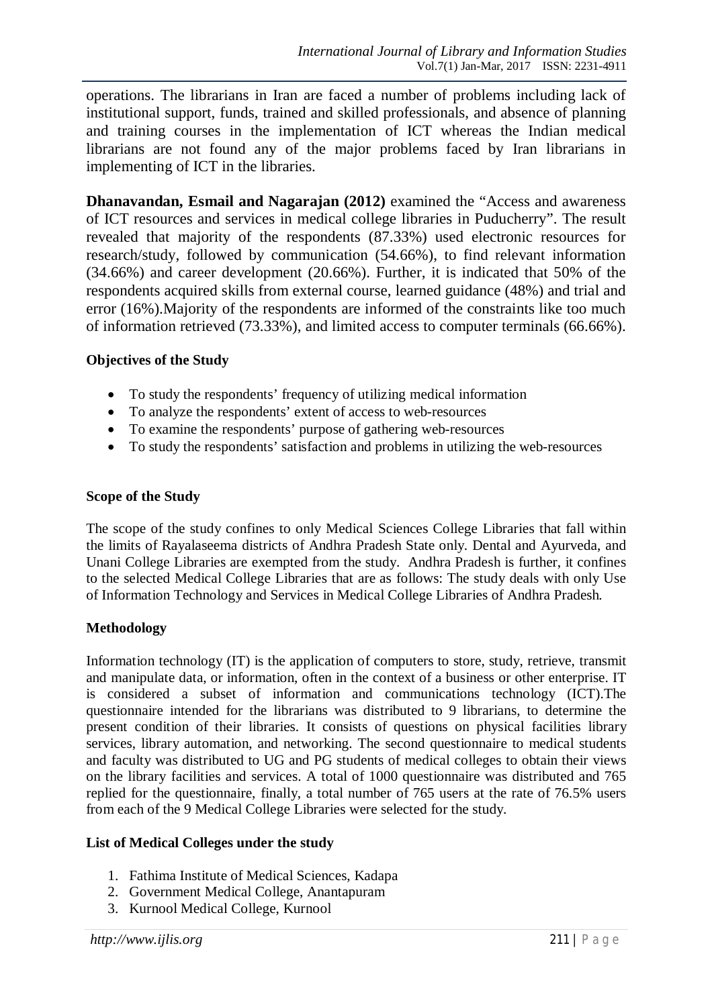operations. The librarians in Iran are faced a number of problems including lack of institutional support, funds, trained and skilled professionals, and absence of planning and training courses in the implementation of ICT whereas the Indian medical librarians are not found any of the major problems faced by Iran librarians in implementing of ICT in the libraries.

**Dhanavandan, Esmail and Nagarajan (2012)** examined the "Access and awareness of ICT resources and services in medical college libraries in Puducherry". The result revealed that majority of the respondents (87.33%) used electronic resources for research/study, followed by communication (54.66%), to find relevant information (34.66%) and career development (20.66%). Further, it is indicated that 50% of the respondents acquired skills from external course, learned guidance (48%) and trial and error (16%).Majority of the respondents are informed of the constraints like too much of information retrieved (73.33%), and limited access to computer terminals (66.66%).

## **Objectives of the Study**

- To study the respondents' frequency of utilizing medical information
- To analyze the respondents' extent of access to web-resources
- To examine the respondents' purpose of gathering web-resources
- To study the respondents' satisfaction and problems in utilizing the web-resources

#### **Scope of the Study**

The scope of the study confines to only Medical Sciences College Libraries that fall within the limits of Rayalaseema districts of Andhra Pradesh State only. Dental and Ayurveda, and Unani College Libraries are exempted from the study. Andhra Pradesh is further, it confines to the selected Medical College Libraries that are as follows: The study deals with only Use of Information Technology and Services in Medical College Libraries of Andhra Pradesh.

## **Methodology**

Information technology (IT) is the application of computers to store, study, retrieve, transmit and manipulate data, or information, often in the context of a business or other enterprise. IT is considered a subset of information and communications technology (ICT).The questionnaire intended for the librarians was distributed to 9 librarians, to determine the present condition of their libraries. It consists of questions on physical facilities library services, library automation, and networking. The second questionnaire to medical students and faculty was distributed to UG and PG students of medical colleges to obtain their views on the library facilities and services. A total of 1000 questionnaire was distributed and 765 replied for the questionnaire, finally, a total number of 765 users at the rate of 76.5% users from each of the 9 Medical College Libraries were selected for the study.

## **List of Medical Colleges under the study**

- 1. Fathima Institute of Medical Sciences, Kadapa
- 2. Government Medical College, Anantapuram
- 3. Kurnool Medical College, Kurnool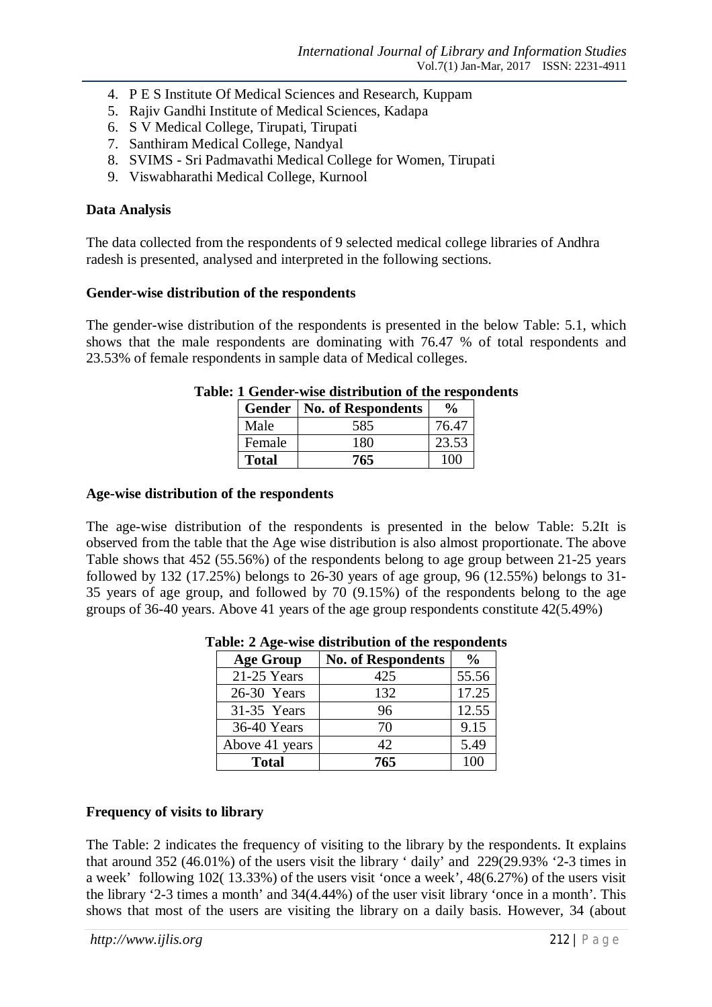- 4. P E S Institute Of Medical Sciences and Research, Kuppam
- 5. Rajiv Gandhi Institute of Medical Sciences, Kadapa
- 6. S V Medical College, Tirupati, Tirupati
- 7. Santhiram Medical College, Nandyal
- 8. SVIMS Sri Padmavathi Medical College for Women, Tirupati
- 9. Viswabharathi Medical College, Kurnool

#### **Data Analysis**

The data collected from the respondents of 9 selected medical college libraries of Andhra radesh is presented, analysed and interpreted in the following sections.

#### **Gender-wise distribution of the respondents**

The gender-wise distribution of the respondents is presented in the below Table: 5.1, which shows that the male respondents are dominating with 76.47 % of total respondents and 23.53% of female respondents in sample data of Medical colleges.

|              | <b>Gender   No. of Respondents</b> | $\frac{6}{9}$ |
|--------------|------------------------------------|---------------|
| Male         | 585                                | 76.47         |
| Female       | 180                                | 23.53         |
| <b>Total</b> | 765                                |               |

### **Table: 1 Gender-wise distribution of the respondents**

#### **Age-wise distribution of the respondents**

The age-wise distribution of the respondents is presented in the below Table: 5.2It is observed from the table that the Age wise distribution is also almost proportionate. The above Table shows that 452 (55.56%) of the respondents belong to age group between 21-25 years followed by 132 (17.25%) belongs to 26-30 years of age group, 96 (12.55%) belongs to 31- 35 years of age group, and followed by 70 (9.15%) of the respondents belong to the age groups of 36-40 years. Above 41 years of the age group respondents constitute 42(5.49%)

| <b>Age Group</b> | <b>No. of Respondents</b> | $\frac{6}{10}$ |
|------------------|---------------------------|----------------|
| 21-25 Years      | 425                       | 55.56          |
| 26-30 Years      | 132                       | 17.25          |
| 31-35 Years      | 96                        | 12.55          |
| 36-40 Years      | 70                        | 9.15           |
| Above 41 years   | 42.                       | 5.49           |
| <b>Total</b>     | 765                       | 100            |

**Table: 2 Age-wise distribution of the respondents**

#### **Frequency of visits to library**

The Table: 2 indicates the frequency of visiting to the library by the respondents. It explains that around 352 (46.01%) of the users visit the library ' daily' and 229(29.93% '2-3 times in a week' following 102( 13.33%) of the users visit 'once a week', 48(6.27%) of the users visit the library '2-3 times a month' and 34(4.44%) of the user visit library 'once in a month'. This shows that most of the users are visiting the library on a daily basis. However, 34 (about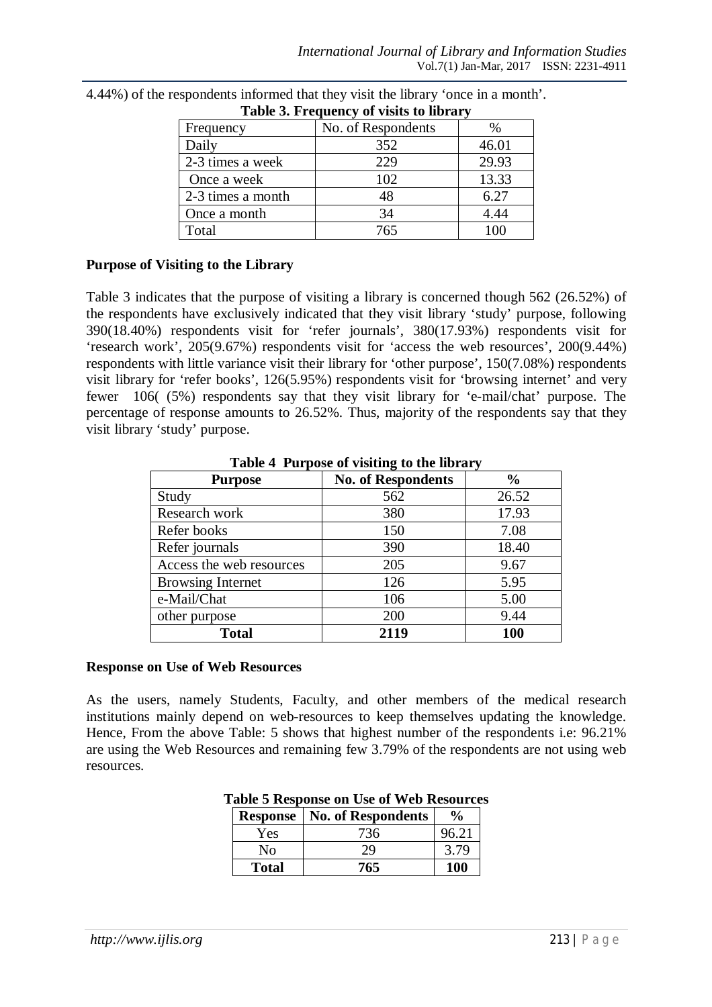| Tuble of Trequency of Theory to Horter |                    |       |
|----------------------------------------|--------------------|-------|
| Frequency                              | No. of Respondents |       |
| Daily                                  | 352                | 46.01 |
| 2-3 times a week                       | 229                | 29.93 |
| Once a week                            | 102                | 13.33 |
| 2-3 times a month                      | 48                 | 6.27  |
| Once a month                           | 34                 | 4.44  |
| Total                                  | 765                | 100   |

4.44%) of the respondents informed that they visit the library 'once in a month'. **Table 3. Frequency of visits to library**

#### **Purpose of Visiting to the Library**

Table 3 indicates that the purpose of visiting a library is concerned though 562 (26.52%) of the respondents have exclusively indicated that they visit library 'study' purpose, following 390(18.40%) respondents visit for 'refer journals', 380(17.93%) respondents visit for 'research work', 205(9.67%) respondents visit for 'access the web resources', 200(9.44%) respondents with little variance visit their library for 'other purpose', 150(7.08%) respondents visit library for 'refer books', 126(5.95%) respondents visit for 'browsing internet' and very fewer 106( (5%) respondents say that they visit library for 'e-mail/chat' purpose. The percentage of response amounts to 26.52%. Thus, majority of the respondents say that they visit library 'study' purpose.

| <b>Purpose</b>           | <b>No. of Respondents</b> | $\frac{6}{9}$ |
|--------------------------|---------------------------|---------------|
| Study                    | 562                       | 26.52         |
| Research work            | 380                       | 17.93         |
| Refer books              | 150                       | 7.08          |
| Refer journals           | 390                       | 18.40         |
| Access the web resources | 205                       | 9.67          |
| <b>Browsing Internet</b> | 126                       | 5.95          |
| e-Mail/Chat              | 106                       | 5.00          |
| other purpose            | 200                       | 9.44          |
| <b>Total</b>             | 2119                      | 100           |

**Table 4 Purpose of visiting to the library**

#### **Response on Use of Web Resources**

As the users, namely Students, Faculty, and other members of the medical research institutions mainly depend on web-resources to keep themselves updating the knowledge. Hence, From the above Table: 5 shows that highest number of the respondents i.e: 96.21% are using the Web Resources and remaining few 3.79% of the respondents are not using web resources.

|              | <b>Response</b>   No. of Respondents | $\frac{6}{9}$ |
|--------------|--------------------------------------|---------------|
| Yes          | 736                                  | 96.21         |
| Nο           | 29                                   | 3.79          |
| <b>Total</b> | 765                                  | 100           |

#### **Table 5 Response on Use of Web Resources**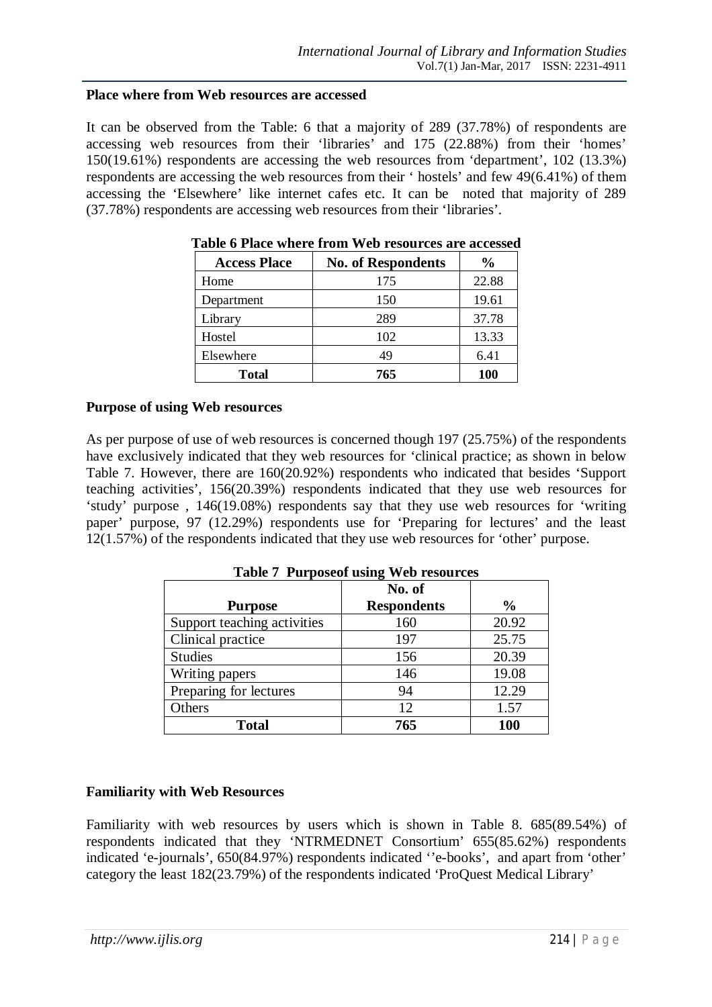#### **Place where from Web resources are accessed**

It can be observed from the Table: 6 that a majority of 289 (37.78%) of respondents are accessing web resources from their 'libraries' and 175 (22.88%) from their 'homes' 150(19.61%) respondents are accessing the web resources from 'department', 102 (13.3%) respondents are accessing the web resources from their ' hostels' and few 49(6.41%) of them accessing the 'Elsewhere' like internet cafes etc. It can be noted that majority of 289 (37.78%) respondents are accessing web resources from their 'libraries'.

| <b>Access Place</b> | <b>No. of Respondents</b> | $\frac{6}{10}$ |
|---------------------|---------------------------|----------------|
| Home                | 175                       | 22.88          |
| Department          | 150                       | 19.61          |
| Library             | 289                       | 37.78          |
| Hostel              | 102                       | 13.33          |
| Elsewhere           | 49                        | 6.41           |
| <b>Total</b>        | 765                       | <b>100</b>     |

**Table 6 Place where from Web resources are accessed**

#### **Purpose of using Web resources**

As per purpose of use of web resources is concerned though 197 (25.75%) of the respondents have exclusively indicated that they web resources for 'clinical practice; as shown in below Table 7. However, there are 160(20.92%) respondents who indicated that besides 'Support teaching activities', 156(20.39%) respondents indicated that they use web resources for 'study' purpose , 146(19.08%) respondents say that they use web resources for 'writing paper' purpose, 97 (12.29%) respondents use for 'Preparing for lectures' and the least 12(1.57%) of the respondents indicated that they use web resources for 'other' purpose.

|                             | No. of             |               |
|-----------------------------|--------------------|---------------|
| <b>Purpose</b>              | <b>Respondents</b> | $\frac{0}{0}$ |
| Support teaching activities | 160                | 20.92         |
| Clinical practice           | 197                | 25.75         |
| <b>Studies</b>              | 156                | 20.39         |
| Writing papers              | 146                | 19.08         |
| Preparing for lectures      | 94                 | 12.29         |
| Others                      | 12                 | 1.57          |
| <b>Total</b>                | 765                | 100           |

**Table 7 Purposeof using Web resources**

#### **Familiarity with Web Resources**

Familiarity with web resources by users which is shown in Table 8. 685(89.54%) of respondents indicated that they 'NTRMEDNET Consortium' 655(85.62%) respondents indicated 'e-journals', 650(84.97%) respondents indicated ''e-books', and apart from 'other' category the least 182(23.79%) of the respondents indicated 'ProQuest Medical Library'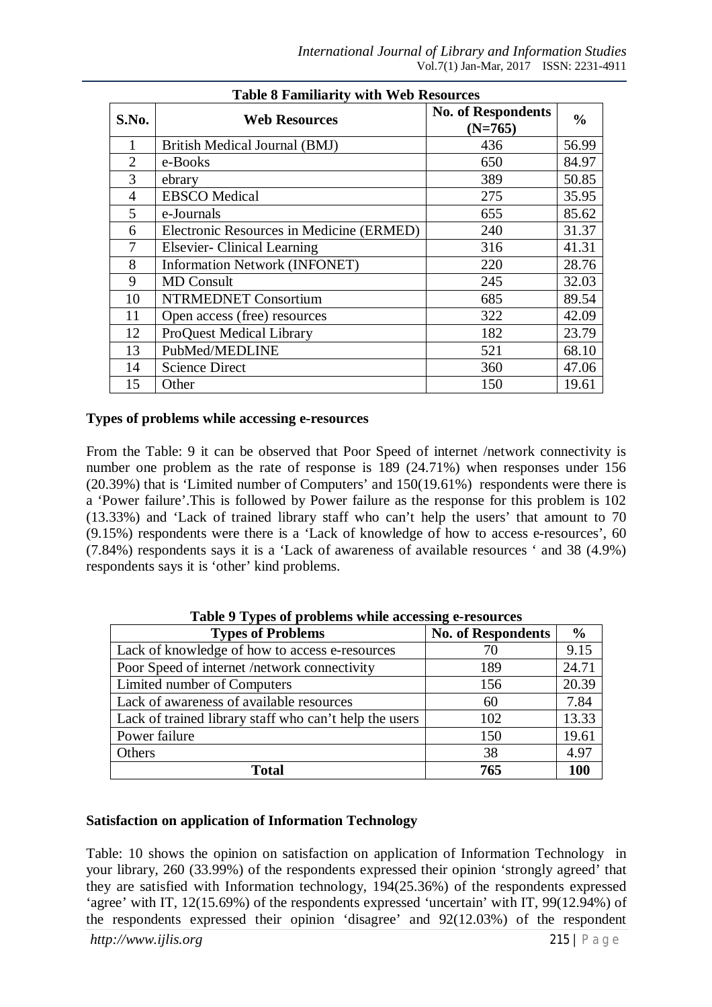| <b>Table 8 Familiarity with Web Resources</b> |                                          |                                        |               |
|-----------------------------------------------|------------------------------------------|----------------------------------------|---------------|
| S.No.                                         | <b>Web Resources</b>                     | <b>No. of Respondents</b><br>$(N=765)$ | $\frac{0}{0}$ |
| 1                                             | British Medical Journal (BMJ)            | 436                                    | 56.99         |
| $\overline{2}$                                | e-Books                                  | 650                                    | 84.97         |
| 3                                             | ebrary                                   | 389                                    | 50.85         |
| 4                                             | <b>EBSCO</b> Medical                     | 275                                    | 35.95         |
| 5                                             | e-Journals                               | 655                                    | 85.62         |
| 6                                             | Electronic Resources in Medicine (ERMED) | 240                                    | 31.37         |
| 7                                             | <b>Elsevier-</b> Clinical Learning       | 316                                    | 41.31         |
| 8                                             | Information Network (INFONET)            | 220                                    | 28.76         |
| 9                                             | <b>MD</b> Consult                        | 245                                    | 32.03         |
| 10                                            | <b>NTRMEDNET Consortium</b>              | 685                                    | 89.54         |
| 11                                            | Open access (free) resources             | 322                                    | 42.09         |
| 12                                            | <b>ProQuest Medical Library</b>          | 182                                    | 23.79         |
| 13                                            | PubMed/MEDLINE                           | 521                                    | 68.10         |
| 14                                            | <b>Science Direct</b>                    | 360                                    | 47.06         |
| 15                                            | Other                                    | 150                                    | 19.61         |

#### **Types of problems while accessing e-resources**

From the Table: 9 it can be observed that Poor Speed of internet /network connectivity is number one problem as the rate of response is 189 (24.71%) when responses under 156 (20.39%) that is 'Limited number of Computers' and 150(19.61%) respondents were there is a 'Power failure'.This is followed by Power failure as the response for this problem is 102 (13.33%) and 'Lack of trained library staff who can't help the users' that amount to 70 (9.15%) respondents were there is a 'Lack of knowledge of how to access e-resources', 60 (7.84%) respondents says it is a 'Lack of awareness of available resources ' and 38 (4.9%) respondents says it is 'other' kind problems.

| Table > Types of problems while accessing e-resources  |                           |               |
|--------------------------------------------------------|---------------------------|---------------|
| <b>Types of Problems</b>                               | <b>No. of Respondents</b> | $\frac{6}{6}$ |
| Lack of knowledge of how to access e-resources         | 70                        | 9.15          |
| Poor Speed of internet /network connectivity           | 189                       | 24.71         |
| Limited number of Computers                            | 156                       | 20.39         |
| Lack of awareness of available resources               | 60                        | 7.84          |
| Lack of trained library staff who can't help the users | 102                       | 13.33         |
| Power failure                                          | 150                       | 19.61         |
| Others                                                 | 38                        | 4.97          |
| <b>Total</b>                                           | 765                       | 100           |

**Table 9 Types of problems while accessing e-resources**

#### **Satisfaction on application of Information Technology**

Table: 10 shows the opinion on satisfaction on application of Information Technology in your library, 260 (33.99%) of the respondents expressed their opinion 'strongly agreed' that they are satisfied with Information technology, 194(25.36%) of the respondents expressed 'agree' with IT, 12(15.69%) of the respondents expressed 'uncertain' with IT, 99(12.94%) of the respondents expressed their opinion 'disagree' and 92(12.03%) of the respondent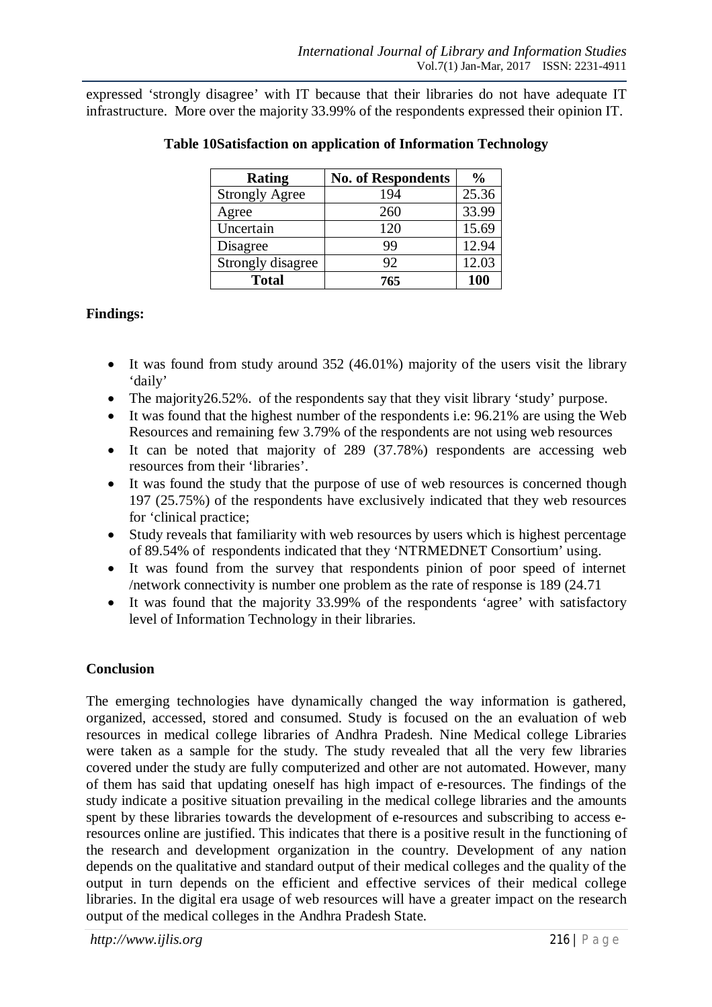expressed 'strongly disagree' with IT because that their libraries do not have adequate IT infrastructure. More over the majority 33.99% of the respondents expressed their opinion IT.

| <b>Rating</b>         | <b>No. of Respondents</b> | $\frac{0}{0}$ |
|-----------------------|---------------------------|---------------|
| <b>Strongly Agree</b> | 194                       | 25.36         |
| Agree                 | 260                       | 33.99         |
| Uncertain             | 120                       | 15.69         |
| Disagree              | 99                        | 12.94         |
| Strongly disagree     | 92                        | 12.03         |
| <b>Total</b>          | 765                       | 100           |

### **Table 10Satisfaction on application of Information Technology**

## **Findings:**

- It was found from study around 352 (46.01%) majority of the users visit the library 'daily'
- The majority 26.52%. of the respondents say that they visit library 'study' purpose.
- It was found that the highest number of the respondents i.e: 96.21% are using the Web Resources and remaining few 3.79% of the respondents are not using web resources
- It can be noted that majority of 289 (37.78%) respondents are accessing web resources from their 'libraries'.
- It was found the study that the purpose of use of web resources is concerned though 197 (25.75%) of the respondents have exclusively indicated that they web resources for 'clinical practice;
- Study reveals that familiarity with web resources by users which is highest percentage of 89.54% of respondents indicated that they 'NTRMEDNET Consortium' using.
- It was found from the survey that respondents pinion of poor speed of internet /network connectivity is number one problem as the rate of response is 189 (24.71
- It was found that the majority 33.99% of the respondents 'agree' with satisfactory level of Information Technology in their libraries.

## **Conclusion**

The emerging technologies have dynamically changed the way information is gathered, organized, accessed, stored and consumed. Study is focused on the an evaluation of web resources in medical college libraries of Andhra Pradesh. Nine Medical college Libraries were taken as a sample for the study. The study revealed that all the very few libraries covered under the study are fully computerized and other are not automated. However, many of them has said that updating oneself has high impact of e-resources. The findings of the study indicate a positive situation prevailing in the medical college libraries and the amounts spent by these libraries towards the development of e-resources and subscribing to access eresources online are justified. This indicates that there is a positive result in the functioning of the research and development organization in the country. Development of any nation depends on the qualitative and standard output of their medical colleges and the quality of the output in turn depends on the efficient and effective services of their medical college libraries. In the digital era usage of web resources will have a greater impact on the research output of the medical colleges in the Andhra Pradesh State.